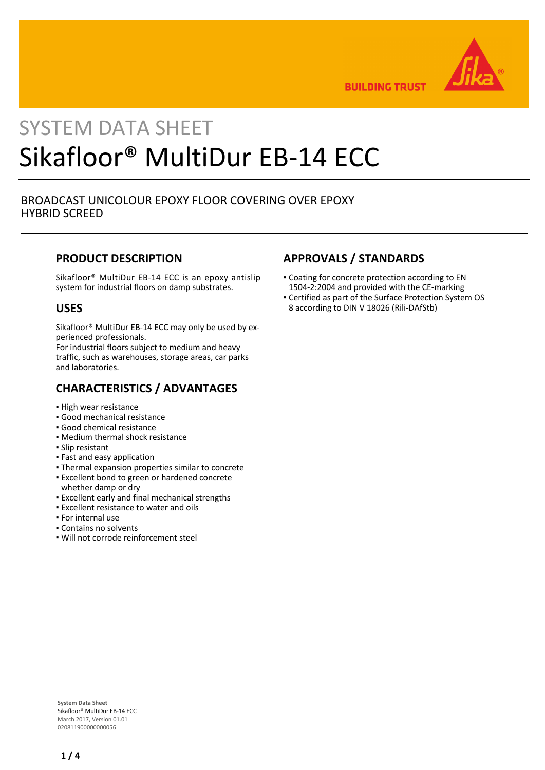

**BUILDING TRUST** 

# SYSTEM DATA SHEET Sikafloor® MultiDur EB-14 ECC

## BROADCAST UNICOLOUR EPOXY FLOOR COVERING OVER EPOXY HYBRID SCREED

## **PRODUCT DESCRIPTION**

Sikafloor® MultiDur EB-14 ECC is an epoxy antislip system for industrial floors on damp substrates.

## **USES**

Sikafloor® MultiDur EB-14 ECC may only be used by experienced professionals.

For industrial floors subject to medium and heavy traffic, such as warehouses, storage areas, car parks and laboratories.

## **CHARACTERISTICS / ADVANTAGES**

- High wear resistance
- Good mechanical resistance
- Good chemical resistance
- Medium thermal shock resistance
- Slip resistant
- Fast and easy application
- Thermal expansion properties similar to concrete
- **Excellent bond to green or hardened concrete** whether damp or dry
- **Excellent early and final mechanical strengths**
- **Excellent resistance to water and oils**
- For internal use
- Contains no solvents
- Will not corrode reinforcement steel

# **APPROVALS / STANDARDS**

- **Coating for concrete protection according to EN** 1504-2:2004 and provided with the CE-marking
- Certified as part of the Surface Protection System OS 8 according to DIN V 18026 (Rili-DAfStb)

**System Data Sheet** Sikafloor® MultiDur EB-14 ECC March 2017, Version 01.01 020811900000000056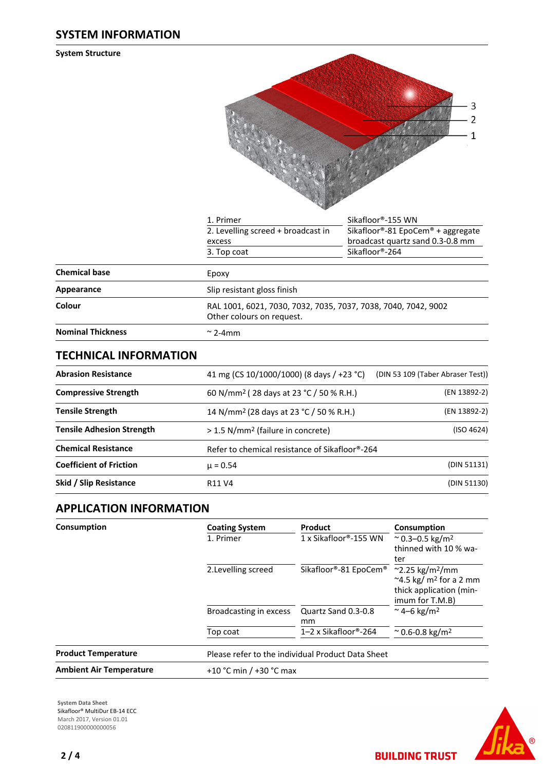**System Structure**

| 3<br>2<br>1 |
|-------------|
|             |

|                          | 1. Primer                                                                                   | Sikafloor®-155 WN                                                     |
|--------------------------|---------------------------------------------------------------------------------------------|-----------------------------------------------------------------------|
|                          | 2. Levelling screed + broadcast in<br>excess                                                | Sikafloor®-81 EpoCem® + aggregate<br>broadcast quartz sand 0.3-0.8 mm |
|                          | 3. Top coat                                                                                 | Sikafloor®-264                                                        |
| <b>Chemical base</b>     | Epoxy                                                                                       |                                                                       |
| Appearance               | Slip resistant gloss finish                                                                 |                                                                       |
| Colour                   | RAL 1001, 6021, 7030, 7032, 7035, 7037, 7038, 7040, 7042, 9002<br>Other colours on request. |                                                                       |
| <b>Nominal Thickness</b> | $\approx$ 2-4mm                                                                             |                                                                       |

## **TECHNICAL INFORMATION**

| <b>Abrasion Resistance</b>       | 41 mg (CS 10/1000/1000) (8 days / +23 °C)           | (DIN 53 109 (Taber Abraser Test)) |  |
|----------------------------------|-----------------------------------------------------|-----------------------------------|--|
| <b>Compressive Strength</b>      | (EN 13892-2)                                        |                                   |  |
| <b>Tensile Strength</b>          | 14 N/mm <sup>2</sup> (28 days at 23 °C / 50 % R.H.) | (EN 13892-2)                      |  |
| <b>Tensile Adhesion Strength</b> | > 1.5 N/mm <sup>2</sup> (failure in concrete)       | (ISO 4624)                        |  |
| <b>Chemical Resistance</b>       | Refer to chemical resistance of Sikafloor®-264      |                                   |  |
| <b>Coefficient of Friction</b>   | $\mu = 0.54$                                        | (DIN 51131)                       |  |
| Skid / Slip Resistance           | R <sub>11</sub> V <sub>4</sub>                      |                                   |  |

# **APPLICATION INFORMATION**

| Consumption                    | <b>Coating System</b><br>1. Primer | Product<br>$1x$ Sikafloor®-155 WN                 | Consumption<br>$^{\circ}$ 0.3–0.5 kg/m <sup>2</sup><br>thinned with 10 % wa-<br>ter       |
|--------------------------------|------------------------------------|---------------------------------------------------|-------------------------------------------------------------------------------------------|
|                                | 2. Levelling screed                | Sikafloor®-81 EpoCem® ~2.25 kg/m <sup>2</sup> /mm | $\approx$ 4.5 kg/ m <sup>2</sup> for a 2 mm<br>thick application (min-<br>imum for T.M.B) |
|                                | Broadcasting in excess             | Quartz Sand 0.3-0.8<br>mm                         | ~4–6 kg/m <sup>2</sup>                                                                    |
|                                | Top coat                           | 1–2 x Sikafloor®-264                              | $^{\circ}$ 0.6-0.8 kg/m <sup>2</sup>                                                      |
| <b>Product Temperature</b>     |                                    | Please refer to the individual Product Data Sheet |                                                                                           |
| <b>Ambient Air Temperature</b> | +10 °C min / +30 °C max            |                                                   |                                                                                           |

**System Data Sheet** Sikafloor® MultiDur EB-14 ECC March 2017, Version 01.01 0208119000000000056



**BUILDING TRUST**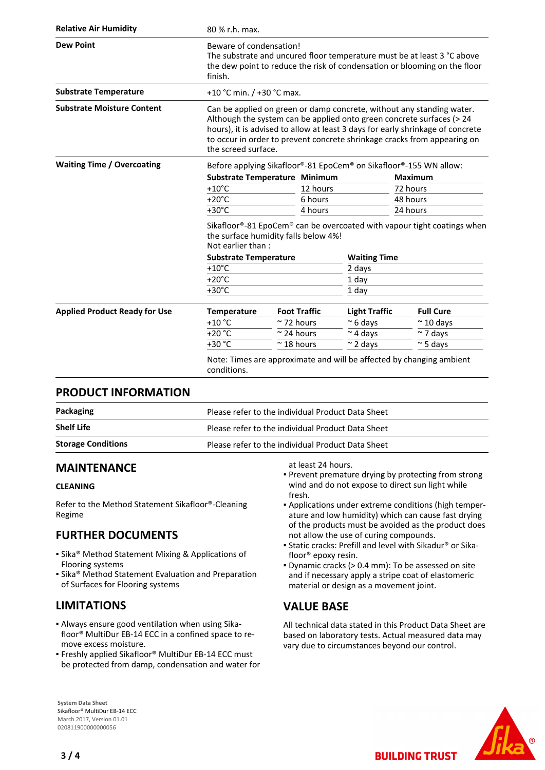| <b>Relative Air Humidity</b>         | 80 % r.h. max.                                                                                                                                                                                                                                                                                                                      |                               |                      |                                                                      |  |
|--------------------------------------|-------------------------------------------------------------------------------------------------------------------------------------------------------------------------------------------------------------------------------------------------------------------------------------------------------------------------------------|-------------------------------|----------------------|----------------------------------------------------------------------|--|
| <b>Dew Point</b>                     | Beware of condensation!<br>The substrate and uncured floor temperature must be at least 3 °C above<br>the dew point to reduce the risk of condensation or blooming on the floor<br>finish.                                                                                                                                          |                               |                      |                                                                      |  |
| <b>Substrate Temperature</b>         | +10 °C min. $/$ +30 °C max.                                                                                                                                                                                                                                                                                                         |                               |                      |                                                                      |  |
| <b>Substrate Moisture Content</b>    | Can be applied on green or damp concrete, without any standing water.<br>Although the system can be applied onto green concrete surfaces (> 24<br>hours), it is advised to allow at least 3 days for early shrinkage of concrete<br>to occur in order to prevent concrete shrinkage cracks from appearing on<br>the screed surface. |                               |                      |                                                                      |  |
| <b>Waiting Time / Overcoating</b>    | Before applying Sikafloor®-81 EpoCem® on Sikafloor®-155 WN allow:                                                                                                                                                                                                                                                                   |                               |                      |                                                                      |  |
|                                      |                                                                                                                                                                                                                                                                                                                                     | Substrate Temperature Minimum |                      | <b>Maximum</b>                                                       |  |
|                                      | $+10^{\circ}$ C                                                                                                                                                                                                                                                                                                                     | 12 hours                      |                      | 72 hours                                                             |  |
|                                      | $+20^{\circ}$ C                                                                                                                                                                                                                                                                                                                     | 6 hours                       |                      | 48 hours                                                             |  |
|                                      | $+30^{\circ}$ C                                                                                                                                                                                                                                                                                                                     | 4 hours                       |                      | 24 hours                                                             |  |
|                                      | Sikafloor®-81 EpoCem® can be overcoated with vapour tight coatings when<br>the surface humidity falls below 4%!<br>Not earlier than:                                                                                                                                                                                                |                               |                      |                                                                      |  |
|                                      | <b>Substrate Temperature</b>                                                                                                                                                                                                                                                                                                        |                               |                      | <b>Waiting Time</b>                                                  |  |
|                                      | $+10^{\circ}$ C                                                                                                                                                                                                                                                                                                                     |                               | 2 days               |                                                                      |  |
|                                      | $+20^{\circ}$ C                                                                                                                                                                                                                                                                                                                     |                               | 1 day                |                                                                      |  |
|                                      | $+30^{\circ}$ C<br>1 day                                                                                                                                                                                                                                                                                                            |                               |                      |                                                                      |  |
| <b>Applied Product Ready for Use</b> | <b>Temperature</b>                                                                                                                                                                                                                                                                                                                  | <b>Foot Traffic</b>           | <b>Light Traffic</b> | <b>Full Cure</b>                                                     |  |
|                                      | $+10$ °C                                                                                                                                                                                                                                                                                                                            | $\approx$ 72 hours            | $\approx$ 6 days     | $~\sim$ 10 days                                                      |  |
|                                      | $+20 °C$                                                                                                                                                                                                                                                                                                                            | $\approx$ 24 hours            | $\sim$ 4 days        | $\sim$ 7 days                                                        |  |
|                                      | $+30 °C$                                                                                                                                                                                                                                                                                                                            | $~\sim$ 18 hours              | $\sim$ 2 days        | $\approx$ 5 days                                                     |  |
|                                      | conditions.                                                                                                                                                                                                                                                                                                                         |                               |                      | Note: Times are approximate and will be affected by changing ambient |  |

## **PRODUCT INFORMATION**

| Packaging                 | Please refer to the individual Product Data Sheet |
|---------------------------|---------------------------------------------------|
| <b>Shelf Life</b>         | Please refer to the individual Product Data Sheet |
| <b>Storage Conditions</b> | Please refer to the individual Product Data Sheet |

## **MAINTENANCE**

## **CLEANING**

Refer to the Method Statement Sikafloor®-Cleaning Regime

# **FURTHER DOCUMENTS**

- **Example 3 Method Statement Mixing & Applications of** Flooring systems
- Sika® Method Statement Evaluation and Preparation of Surfaces for Flooring systems

# **LIMITATIONS**

- Always ensure good ventilation when using Sika-▪ floor® MultiDur EB-14 ECC in a confined space to remove excess moisture.
- Freshly applied Sikafloor® MultiDur EB-14 ECC must be protected from damp, condensation and water for

#### **System Data Sheet** Sikafloor® MultiDur EB-14 ECC March 2017, Version 01.01 020811900000000056

at least 24 hours.

- **Prevent premature drying by protecting from strong** wind and do not expose to direct sun light while fresh.
- Applications under extreme conditions (high temper-▪ ature and low humidity) which can cause fast drying of the products must be avoided as the product does not allow the use of curing compounds.
- Static cracks: Prefill and level with Sikadur® or Sika-▪ floor® epoxy resin.
- Dynamic cracks (> 0.4 mm): To be assessed on site and if necessary apply a stripe coat of elastomeric material or design as a movement joint.

## **VALUE BASE**

All technical data stated in this Product Data Sheet are based on laboratory tests. Actual measured data may vary due to circumstances beyond our control.

**BUILDING TRUST** 



**3 / 4**